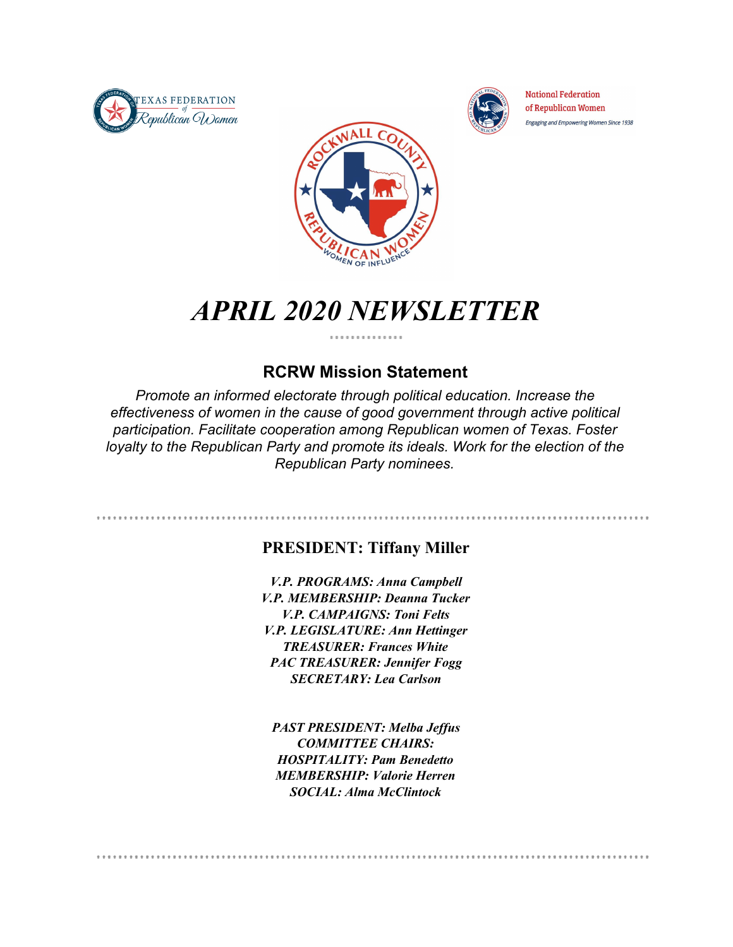



**National Federation** of Republican Women Engaging and Empowering Women Since 1938



## *APRIL 2020 NEWSLETTER*

### **RCRW Mission Statement**

*Promote an informed electorate through political education. Increase the effectiveness of women in the cause of good government through active political participation. Facilitate cooperation among Republican women of Texas. Foster loyalty to the Republican Party and promote its ideals. Work for the election of the Republican Party nominees.*

### **PRESIDENT: Tiffany Miller**

*V.P. PROGRAMS: Anna Campbell V.P. MEMBERSHIP: Deanna Tucker V.P. CAMPAIGNS: Toni Felts V.P. LEGISLATURE: Ann Hettinger TREASURER: Frances White PAC TREASURER: Jennifer Fogg SECRETARY: Lea Carlson*

*PAST PRESIDENT: Melba Jeffus COMMITTEE CHAIRS: HOSPITALITY: Pam Benedetto MEMBERSHIP: Valorie Herren SOCIAL: Alma McClintock*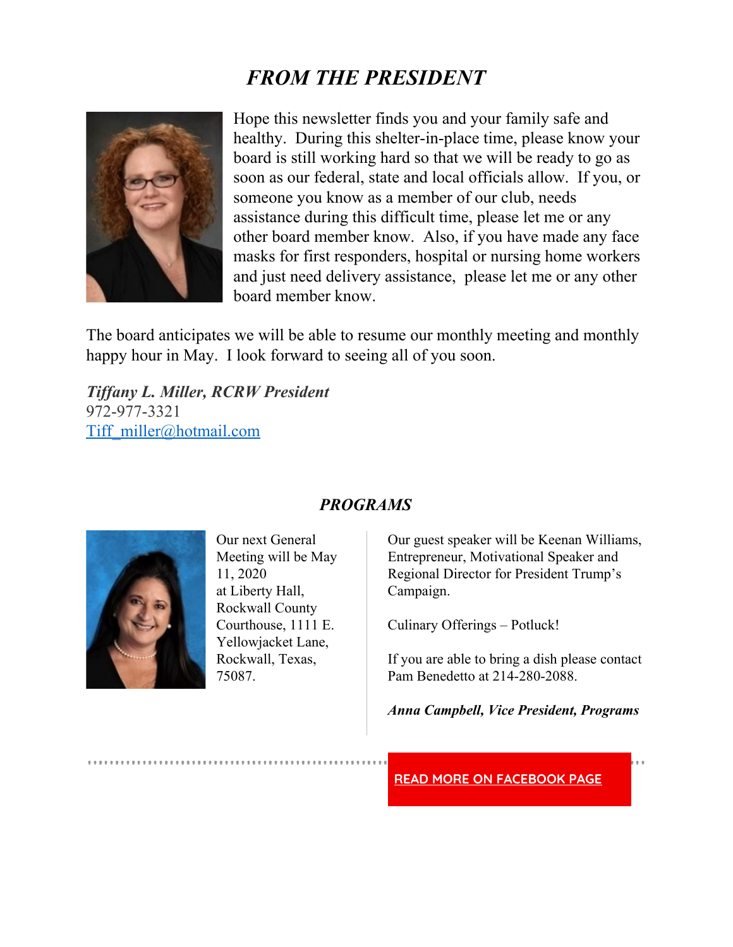## *FROM THE PRESIDENT*



Hope this newsletter finds you and your family safe and healthy. During this shelter-in-place time, please know your board is still working hard so that we will be ready to go as soon as our federal, state and local officials allow. If you, or someone you know as a member of our club, needs assistance during this difficult time, please let me or any other board member know. Also, if you have made any face masks for first responders, hospital or nursing home workers and just need delivery assistance, please let me or any other board member know.

The board anticipates we will be able to resume our monthly meeting and monthly happy hour in May. I look forward to seeing all of you soon.

*Tif any L. Miller, RCRW President* 972-977-3321 [Tiff\\_miller@hotmail.com](mailto:Tiff_miller@hotmail.com)



Our next General Meeting will be May 11, 2020 at Liberty Hall, Rockwall County Courthouse, 1111 E. Yellowjacket Lane, Rockwall, Texas, 75087.

### *PROGRAMS*

Our guest speaker will be Keenan Williams, Entrepreneur, Motivational Speaker and Regional Director for President Trump's Campaign.

Culinary Offerings – Potluck!

If you are able to bring a dish please contact Pam Benedetto at 214-280-2088.

*Anna Campbell, Vice President, Programs*

**READ MORE ON [FACEBOOK](https://www.facebook.com/RCRWTX/) PAGE**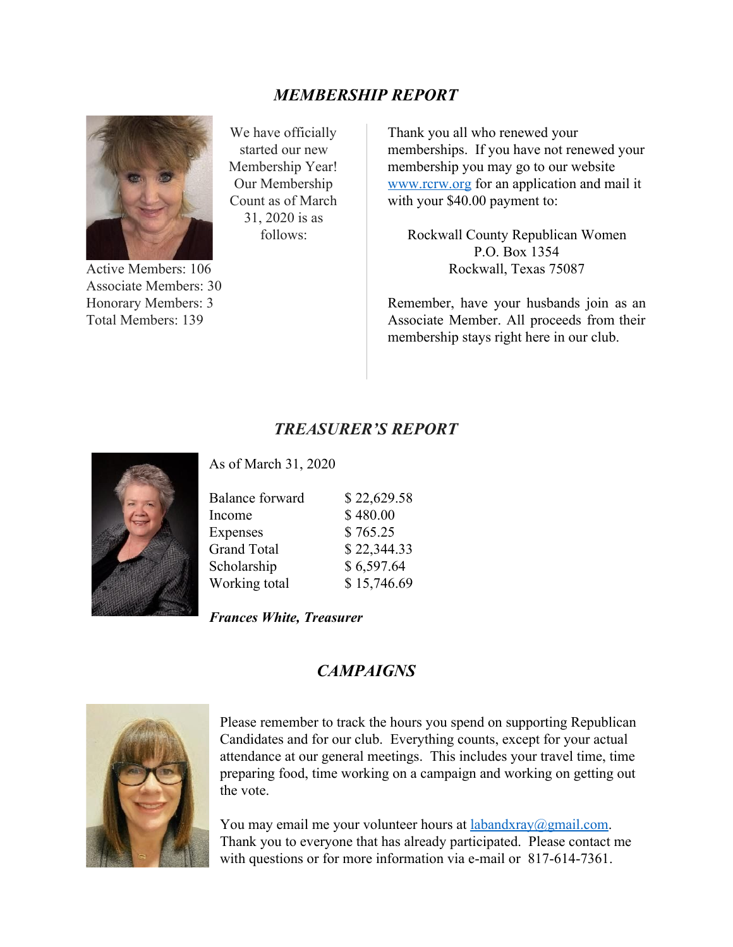### *MEMBERSHIP REPORT*



Active Members: 106 Associate Members: 30 Honorary Members: 3 Total Members: 139

We have officially started our new Membership Year! Our Membership Count as of March 31, 2020 is as follows:

Thank you all who renewed your memberships. If you have not renewed your membership you may go to our website [www.rcrw.org](http://www.rcrw.org/) for an application and mail it with your \$40.00 payment to:

Rockwall County Republican Women P.O. Box 1354 Rockwall, Texas 75087

Remember, have your husbands join as an Associate Member. All proceeds from their membership stays right here in our club.

### *TREASURER'S REPORT*



As of March 31, 2020

| <b>Balance forward</b> | \$22,629.58 |
|------------------------|-------------|
| Income                 | \$480.00    |
| Expenses               | \$765.25    |
| <b>Grand Total</b>     | \$22,344.33 |
| Scholarship            | \$6,597.64  |
| Working total          | \$15,746.69 |

*Frances White, Treasurer*

### *CAMPAIGNS*



Please remember to track the hours you spend on supporting Republican Candidates and for our club. Everything counts, except for your actual attendance at our general meetings. This includes your travel time, time preparing food, time working on a campaign and working on getting out the vote.

You may email me your volunteer hours at  $labandxray@gmail.com$ . Thank you to everyone that has already participated. Please contact me with questions or for more information via e-mail or 817-614-7361.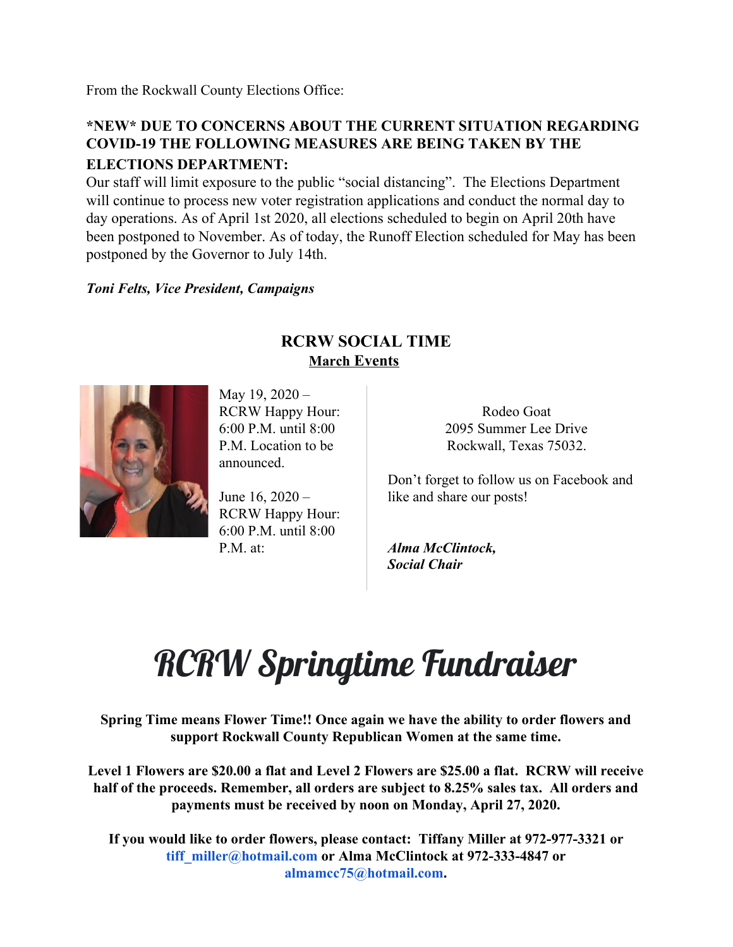From the Rockwall County Elections Office:

### **\*NEW\* DUE TO CONCERNS ABOUT THE CURRENT SITUATION REGARDING COVID-19 THE FOLLOWING MEASURES ARE BEING TAKEN BY THE ELECTIONS DEPARTMENT:**

Our staff will limit exposure to the public "social distancing". The Elections Department will continue to process new voter registration applications and conduct the normal day to day operations. As of April 1st 2020, all elections scheduled to begin on April 20th have been postponed to November. As of today, the Runoff Election scheduled for May has been postponed by the Governor to July 14th.

### *Toni Felts, Vice President, Campaigns*

### **RCRW SOCIAL TIME March Events**



May 19, 2020 – RCRW Happy Hour: 6:00 P.M. until 8:00 P.M. Location to be announced.

June 16, 2020 – RCRW Happy Hour: 6:00 P.M. until 8:00 P.M. at:

Rodeo Goat [2095 Summer Lee Drive](https://www.bing.com/local?lid=YN873x12583727028231687332&id=YN873x12583727028231687332&q=Rodeo+Goat&name=Rodeo+Goat&cp=32.89030456542969%7e-96.48126220703125&ppois=32.89030456542969_-96.48126220703125_Rodeo+Goat&FORM=SNAPST) [Rockwall, Texas 75032.](https://www.bing.com/local?lid=YN873x12583727028231687332&id=YN873x12583727028231687332&q=Rodeo+Goat&name=Rodeo+Goat&cp=32.89030456542969%7e-96.48126220703125&ppois=32.89030456542969_-96.48126220703125_Rodeo+Goat&FORM=SNAPST)

Don't forget to follow us on Facebook and like and share our posts!

*Alma McClintock, Social Chair*

# RCRW Springtime Fundraiser

**Spring Time means Flower Time!! Once again we have the ability to order flowers and support Rockwall County Republican Women at the same time.**

**Level 1 Flowers are \$20.00 a flat and Level 2 Flowers are \$25.00 a flat. RCRW will receive half of the proceeds. Remember, all orders are subject to 8.25% sales tax. All orders and payments must be received by noon on Monday, April 27, 2020.**

**If you would like to order flowers, please contact: Tiffany Miller at 972-977-3321 or tiff\_miller@hotmail.com or Alma McClintock at 972-333-4847 or almamcc75@hotmail.com.**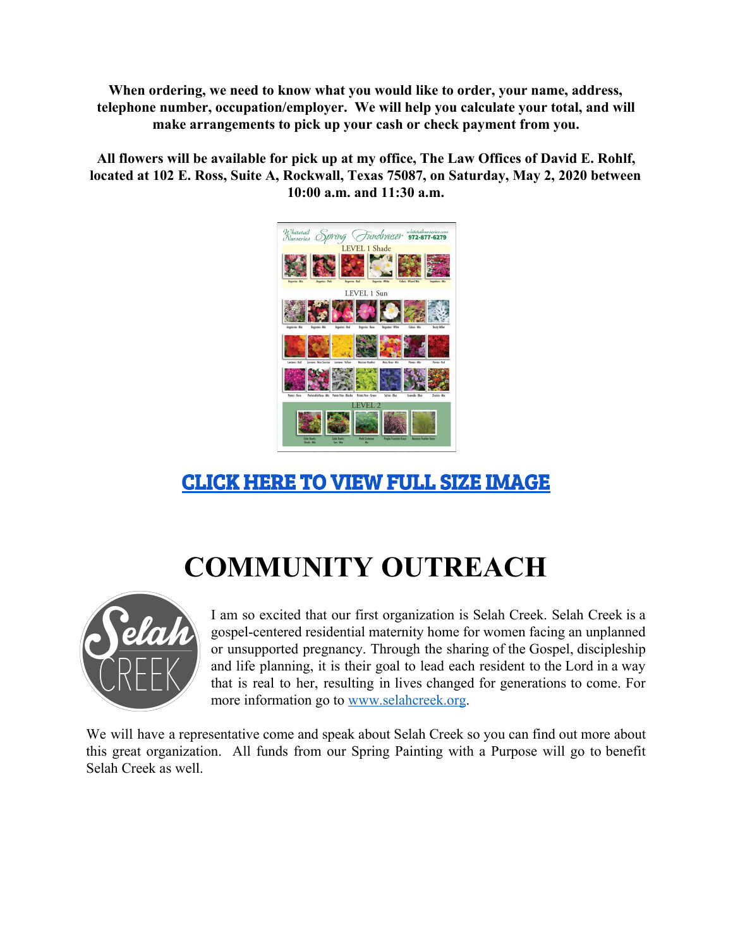**When ordering, we need to know what you would like to order, your name, address, telephone number, occupation/employer. We will help you calculate your total, and will make arrangements to pick up your cash or check payment from you.**

**All flowers will be available for pick up at my office, The Law Offices of David E. Rohlf, located at 102 E. Ross, Suite A, Rockwall, Texas 75087, on Saturday, May 2, 2020 between 10:00 a.m. and 11:30 a.m.**



## CLICK HERE TO VIEW FULL SIZE [IMAGE](https://docs.google.com/document/d/18cyJuBAWBqpT_Zg6xDRrxw7243aebZNzKdkUkx4wwe4/edit?usp=sharing)

# **COMMUNITY OUTREACH**



I am so excited that our first organization is Selah Creek. Selah Creek is a gospel-centered residential maternity home for women facing an unplanned or unsupported pregnancy. Through the sharing of the Gospel, discipleship and life planning, it is their goal to lead each resident to the Lord in a way that is real to her, resulting in lives changed for generations to come. For more information go to [www.selahcreek.org](http://www.selahcreek.org/).

We will have a representative come and speak about Selah Creek so you can find out more about this great organization. All funds from our Spring Painting with a Purpose will go to benefit Selah Creek as well.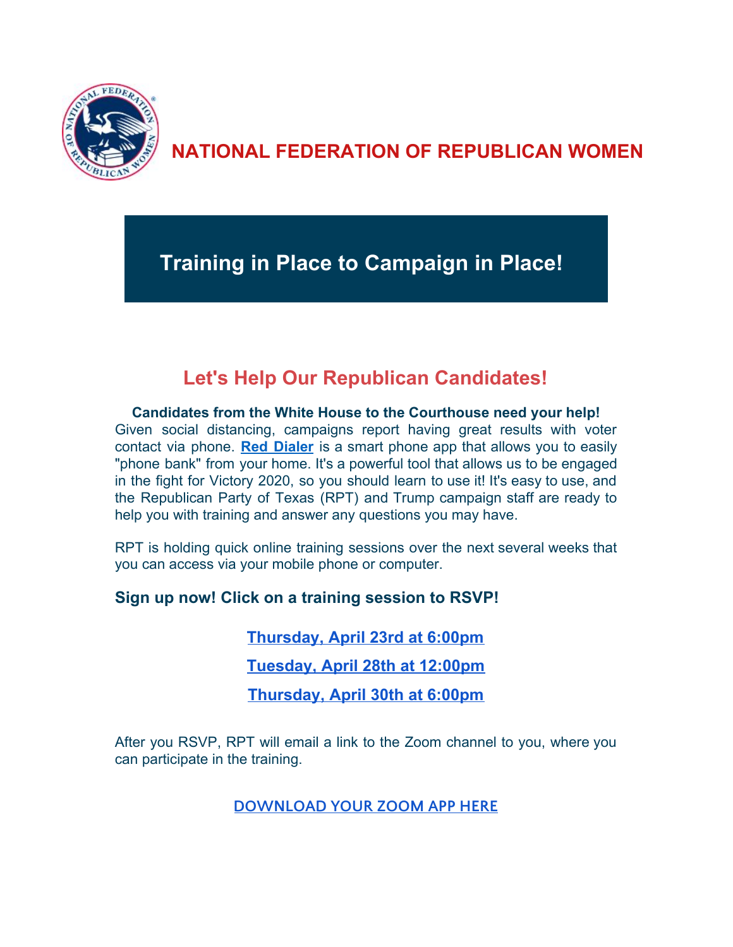

## **NATIONAL FEDERATION OF REPUBLICAN WOMEN**

**Training in Place to Campaign in Place!**

### **Let's Help Our Republican Candidates!**

**Candidates from the White House to the Courthouse need your help!** Given social distancing, campaigns report having great results with voter contact via phone. **Red [Dialer](https://eur05.safelinks.protection.outlook.com/?url=http%3A%2F%2Fr20.rs6.net%2Ftn.jsp%3Ff%3D001ylAp-jN2-kHu8lC1NNPhtH32V2B6rHd9iMIeyhXe3yeziUG4vcPe9dV5Y6Dk4x2vOj11Wej3wUR_LYGQJfssNkJGgHMCycI0c0Uk1COIrXEMj9gesLWSbZQxqplMZCQaRBPQvHUNh2RZXFhiIwBwIg%3D%3D%26c%3DF16C6GZDCv2a8a3U0sTg8h2wAsjmdUSICE1krt6yCVzyCd1craI0eg%3D%3D%26ch%3D_62yYUHItvIdL2B6MTaJz2cDPSuauKQQFRWtPwFr4f7hOa2Vyx0ISQ%3D%3D&data=02%7C01%7C%7C7fe277e99d5840ab2be808d7d80cd0e8%7C84df9e7fe9f640afb435aaaaaaaaaaaa%7C1%7C0%7C637215421863194335&sdata=tjaE0N2vomopTIr5Is7PPUqZH9u4IuzEceY2k2%2BxQgI%3D&reserved=0)** is a smart phone app that allows you to easily "phone bank" from your home. It's a powerful tool that allows us to be engaged in the fight for Victory 2020, so you should learn to use it! It's easy to use, and the Republican Party of Texas (RPT) and Trump campaign staff are ready to help you with training and answer any questions you may have.

RPT is holding quick online training sessions over the next several weeks that you can access via your mobile phone or computer.

### **Sign up now! Click on a training session to RSVP!**

**[Thursday, April 23rd at 6:00pm](https://eur05.safelinks.protection.outlook.com/?url=http%3A%2F%2Fr20.rs6.net%2Ftn.jsp%3Ff%3D001ylAp-jN2-kHu8lC1NNPhtH32V2B6rHd9iMIeyhXe3yeziUG4vcPe9dV5Y6Dk4x2vzQAEnatQdiXMFMNftOuDg2P5DJPkL3XHHAjMhxfis1_tQwnUTi3HdSdQrTYTCydhAQt_YU7OiqXe8X0UjwIHfSqFz_NfkfEsYMdjC8rMtDCz8CeZATNqado3KAnYTdUFSbhYoEMfYdAdvd6cHetiZNLbtu8SrAMcD8BDwUftUqn-A17Iqb9w6g%3D%3D%26c%3DF16C6GZDCv2a8a3U0sTg8h2wAsjmdUSICE1krt6yCVzyCd1craI0eg%3D%3D%26ch%3D_62yYUHItvIdL2B6MTaJz2cDPSuauKQQFRWtPwFr4f7hOa2Vyx0ISQ%3D%3D&data=02%7C01%7C%7C7fe277e99d5840ab2be808d7d80cd0e8%7C84df9e7fe9f640afb435aaaaaaaaaaaa%7C1%7C0%7C637215421863224319&sdata=S80dvuV4jmU4K4T07G%2FOEQKsnu1ZXq4lzmBgYHjT25g%3D&reserved=0)**

**[Tuesday, April 28th at 12:00pm](https://eur05.safelinks.protection.outlook.com/?url=http%3A%2F%2Fr20.rs6.net%2Ftn.jsp%3Ff%3D001ylAp-jN2-kHu8lC1NNPhtH32V2B6rHd9iMIeyhXe3yeziUG4vcPe9dV5Y6Dk4x2vg29eDctbsculHt0u9vPKH1sHVsiZshmphQwCInB9CJgt-NKrfHHfJVWkkPi6GCpAFfKAIQt3x8ExDy4xvUwlIZgozcFb4SmnEuwRvBQXgVXk7PQHVTWEI7rLULe1L-h7M2M5WwBA3U02WoRJFrUhy004A_mUy_wXEXoJv8fx7yChcToTObv_2w%3D%3D%26c%3DF16C6GZDCv2a8a3U0sTg8h2wAsjmdUSICE1krt6yCVzyCd1craI0eg%3D%3D%26ch%3D_62yYUHItvIdL2B6MTaJz2cDPSuauKQQFRWtPwFr4f7hOa2Vyx0ISQ%3D%3D&data=02%7C01%7C%7C7fe277e99d5840ab2be808d7d80cd0e8%7C84df9e7fe9f640afb435aaaaaaaaaaaa%7C1%7C0%7C637215421863234313&sdata=5yIBYm5oANl4G0X66p4zlc%2BoDtKBDB1J3Jh%2BxEBgVcI%3D&reserved=0)**

**[Thursday, April 30th at 6:00pm](https://eur05.safelinks.protection.outlook.com/?url=http%3A%2F%2Fr20.rs6.net%2Ftn.jsp%3Ff%3D001ylAp-jN2-kHu8lC1NNPhtH32V2B6rHd9iMIeyhXe3yeziUG4vcPe9dV5Y6Dk4x2vQppV1Z7OGUvOZkiUgXMALCqvGw4tbt_1MAbUq54D_Np9iL5twP81AKaobrHRcKC_O4mCZPj5ljcE3yM9PmksA7p-7ubLSvrH5pMGKjsL0eSUDXWF7LXOrAnuS34W1TtflT68lXr51skNhjLxRtpy2nIa5Cy5My5GbS-FzNEwKomT2yvHbcdeuA%3D%3D%26c%3DF16C6GZDCv2a8a3U0sTg8h2wAsjmdUSICE1krt6yCVzyCd1craI0eg%3D%3D%26ch%3D_62yYUHItvIdL2B6MTaJz2cDPSuauKQQFRWtPwFr4f7hOa2Vyx0ISQ%3D%3D&data=02%7C01%7C%7C7fe277e99d5840ab2be808d7d80cd0e8%7C84df9e7fe9f640afb435aaaaaaaaaaaa%7C1%7C0%7C637215421863234313&sdata=Z1KelCEBbmVECKZ98INGRbdEjLvPwuLBHfWhjBQ%2FjL4%3D&reserved=0)**

After you RSVP, RPT will email a link to the Zoom channel to you, where you can participate in the training.

**[DOWNLOAD](https://eur05.safelinks.protection.outlook.com/?url=http%3A%2F%2Fr20.rs6.net%2Ftn.jsp%3Ff%3D001ylAp-jN2-kHu8lC1NNPhtH32V2B6rHd9iMIeyhXe3yeziUG4vcPe9dV5Y6Dk4x2vS5j2ODq5qk_TMz8jPss2UTsqoESsvTo0OpnQQsY8nj3X2QGWdawJY-AlW8mocedxaf2EMmwH0zw7jtDASHfY5g%3D%3D%26c%3DF16C6GZDCv2a8a3U0sTg8h2wAsjmdUSICE1krt6yCVzyCd1craI0eg%3D%3D%26ch%3D_62yYUHItvIdL2B6MTaJz2cDPSuauKQQFRWtPwFr4f7hOa2Vyx0ISQ%3D%3D&data=02%7C01%7C%7C7fe277e99d5840ab2be808d7d80cd0e8%7C84df9e7fe9f640afb435aaaaaaaaaaaa%7C1%7C0%7C637215421863234313&sdata=FPEANICjF2fXYpOMl8lu%2BuD%2Bt6Mkj%2FuaMdJqEWd2Yy8%3D&reserved=0) YOUR ZOOM APP HERE**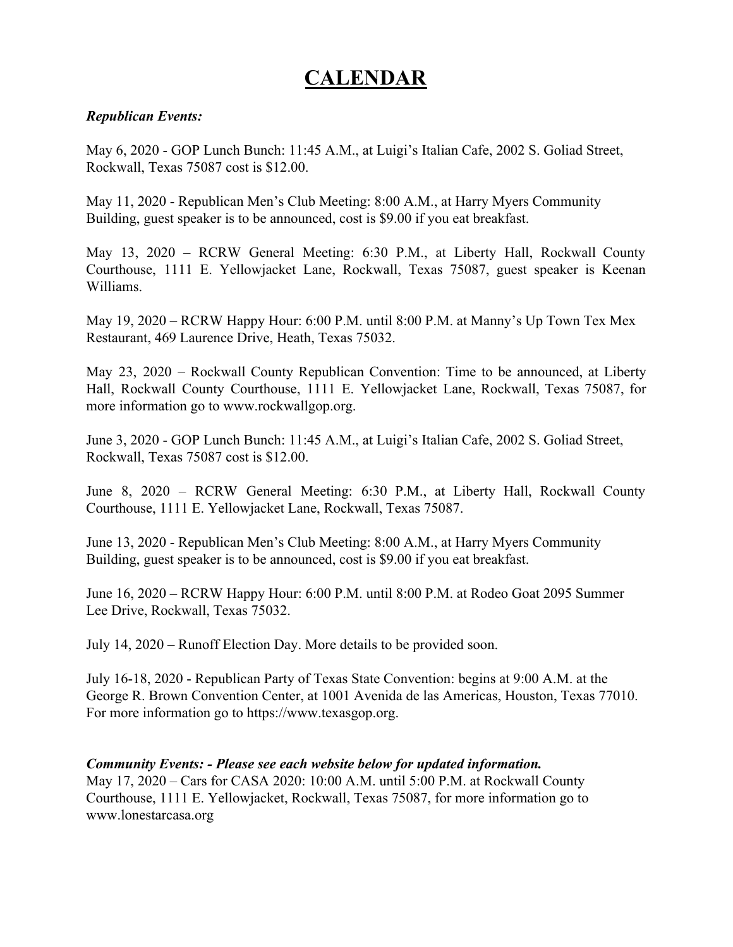## **CALENDAR**

### *Republican Events:*

May 6, 2020 - GOP Lunch Bunch: 11:45 A.M., at Luigi's Italian Cafe, 2002 S. Goliad Street, Rockwall, Texas 75087 cost is \$12.00.

May 11, 2020 - Republican Men's Club Meeting: 8:00 A.M., at Harry Myers Community Building, guest speaker is to be announced, cost is \$9.00 if you eat breakfast.

May 13, 2020 – RCRW General Meeting: 6:30 P.M., at Liberty Hall, Rockwall County Courthouse, 1111 E. Yellowjacket Lane, Rockwall, Texas 75087, guest speaker is Keenan Williams.

May 19, 2020 – RCRW Happy Hour: 6:00 P.M. until 8:00 P.M. at Manny's Up Town Tex Mex Restaurant, [469 Laurence Drive, Heath, Texas 75032.](https://www.bing.com/local?lid=YN873x985212571015715218&id=YN873x985212571015715218&q=Manny%27s+Uptown+Tex+Mex&name=Manny%27s+Uptown+Tex+Mex&cp=32.84038543701172%7e-96.4706039428711&ppois=32.84038543701172_-96.4706039428711_Manny%27s+Uptown+Tex+Mex)

May 23, 2020 – Rockwall County Republican Convention: Time to be announced, at Liberty Hall, Rockwall County Courthouse, 1111 E. Yellowjacket Lane, Rockwall, Texas 75087, for more information go to www.rockwallgop.org.

June 3, 2020 - GOP Lunch Bunch: 11:45 A.M., at Luigi's Italian Cafe, 2002 S. Goliad Street, Rockwall, Texas 75087 cost is \$12.00.

June 8, 2020 – RCRW General Meeting: 6:30 P.M., at Liberty Hall, Rockwall County Courthouse, 1111 E. Yellowjacket Lane, Rockwall, Texas 75087.

June 13, 2020 - Republican Men's Club Meeting: 8:00 A.M., at Harry Myers Community Building, guest speaker is to be announced, cost is \$9.00 if you eat breakfast.

June 16, 2020 – RCRW Happy Hour: 6:00 P.M. until 8:00 P.M. at Rodeo Goat [2095 Summer](https://www.bing.com/local?lid=YN873x12583727028231687332&id=YN873x12583727028231687332&q=Rodeo+Goat&name=Rodeo+Goat&cp=32.89030456542969%7e-96.48126220703125&ppois=32.89030456542969_-96.48126220703125_Rodeo+Goat&FORM=SNAPST) [Lee Drive, Rockwall, Texas 75032.](https://www.bing.com/local?lid=YN873x12583727028231687332&id=YN873x12583727028231687332&q=Rodeo+Goat&name=Rodeo+Goat&cp=32.89030456542969%7e-96.48126220703125&ppois=32.89030456542969_-96.48126220703125_Rodeo+Goat&FORM=SNAPST)

July 14, 2020 – Runoff Election Day. More details to be provided soon.

July 16-18, 2020 - Republican Party of Texas State Convention: begins at 9:00 A.M. at the George R. Brown Convention Center, at 1001 Avenida de las Americas, Houston, Texas 77010. For more information go to https://www.texasgop.org.

### *Community Events: - Please see each website below for updated information.*

May 17, 2020 – Cars for CASA 2020: 10:00 A.M. until 5:00 P.M. at Rockwall County Courthouse, 1111 E. Yellowjacket, Rockwall, Texas 75087, for more information go to www.lonestarcasa.org